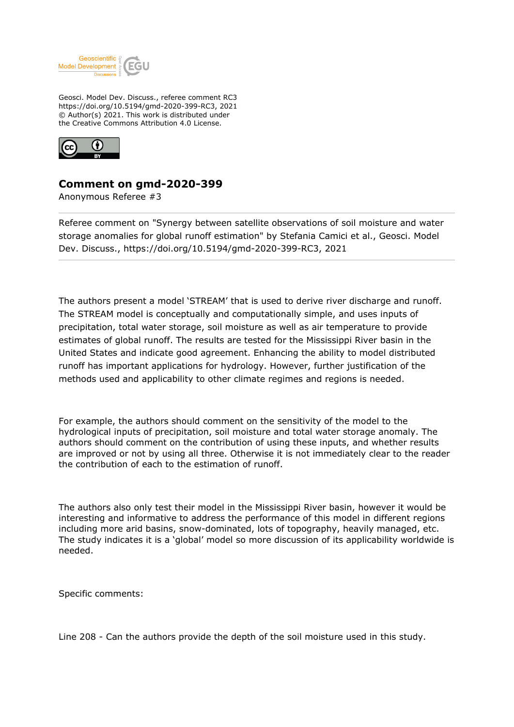

Geosci. Model Dev. Discuss., referee comment RC3 https://doi.org/10.5194/gmd-2020-399-RC3, 2021 © Author(s) 2021. This work is distributed under the Creative Commons Attribution 4.0 License.



## **Comment on gmd-2020-399**

Anonymous Referee #3

Referee comment on "Synergy between satellite observations of soil moisture and water storage anomalies for global runoff estimation" by Stefania Camici et al., Geosci. Model Dev. Discuss., https://doi.org/10.5194/gmd-2020-399-RC3, 2021

The authors present a model 'STREAM' that is used to derive river discharge and runoff. The STREAM model is conceptually and computationally simple, and uses inputs of precipitation, total water storage, soil moisture as well as air temperature to provide estimates of global runoff. The results are tested for the Mississippi River basin in the United States and indicate good agreement. Enhancing the ability to model distributed runoff has important applications for hydrology. However, further justification of the methods used and applicability to other climate regimes and regions is needed.

For example, the authors should comment on the sensitivity of the model to the hydrological inputs of precipitation, soil moisture and total water storage anomaly. The authors should comment on the contribution of using these inputs, and whether results are improved or not by using all three. Otherwise it is not immediately clear to the reader the contribution of each to the estimation of runoff.

The authors also only test their model in the Mississippi River basin, however it would be interesting and informative to address the performance of this model in different regions including more arid basins, snow-dominated, lots of topography, heavily managed, etc. The study indicates it is a 'global' model so more discussion of its applicability worldwide is needed.

Specific comments:

Line 208 - Can the authors provide the depth of the soil moisture used in this study.